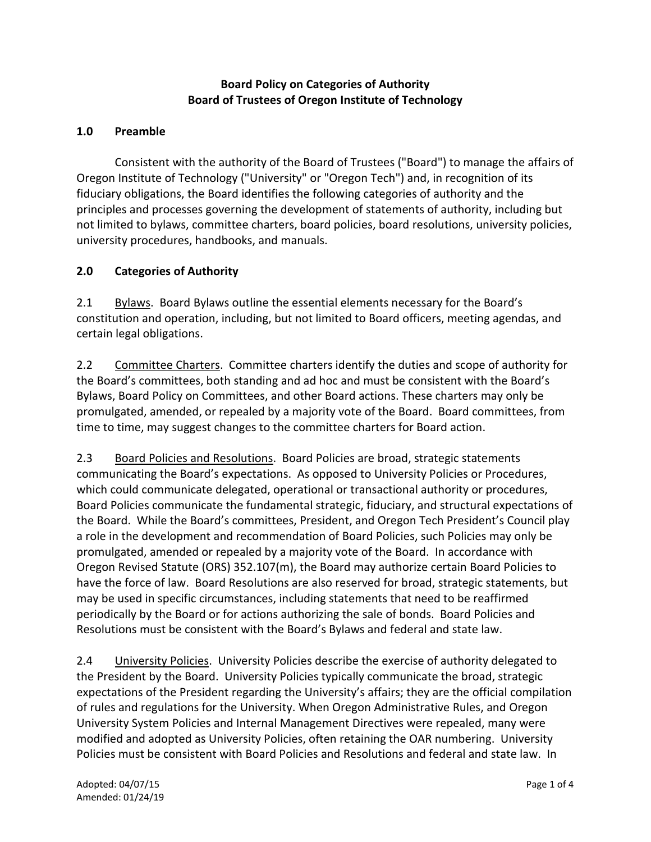### **Board Policy on Categories of Authority Board of Trustees of Oregon Institute of Technology**

#### **1.0 Preamble**

Consistent with the authority of the Board of Trustees ("Board") to manage the affairs of Oregon Institute of Technology ("University" or "Oregon Tech") and, in recognition of its fiduciary obligations, the Board identifies the following categories of authority and the principles and processes governing the development of statements of authority, including but not limited to bylaws, committee charters, board policies, board resolutions, university policies, university procedures, handbooks, and manuals.

#### **2.0 Categories of Authority**

2.1 Bylaws. Board Bylaws outline the essential elements necessary for the Board's constitution and operation, including, but not limited to Board officers, meeting agendas, and certain legal obligations.

2.2 Committee Charters. Committee charters identify the duties and scope of authority for the Board's committees, both standing and ad hoc and must be consistent with the Board's Bylaws, Board Policy on Committees, and other Board actions. These charters may only be promulgated, amended, or repealed by a majority vote of the Board. Board committees, from time to time, may suggest changes to the committee charters for Board action.

2.3 Board Policies and Resolutions. Board Policies are broad, strategic statements communicating the Board's expectations. As opposed to University Policies or Procedures, which could communicate delegated, operational or transactional authority or procedures, Board Policies communicate the fundamental strategic, fiduciary, and structural expectations of the Board. While the Board's committees, President, and Oregon Tech President's Council play a role in the development and recommendation of Board Policies, such Policies may only be promulgated, amended or repealed by a majority vote of the Board. In accordance with Oregon Revised Statute (ORS) 352.107(m), the Board may authorize certain Board Policies to have the force of law. Board Resolutions are also reserved for broad, strategic statements, but may be used in specific circumstances, including statements that need to be reaffirmed periodically by the Board or for actions authorizing the sale of bonds. Board Policies and Resolutions must be consistent with the Board's Bylaws and federal and state law.

2.4 University Policies. University Policies describe the exercise of authority delegated to the President by the Board. University Policies typically communicate the broad, strategic expectations of the President regarding the University's affairs; they are the official compilation of rules and regulations for the University. When Oregon Administrative Rules, and Oregon University System Policies and Internal Management Directives were repealed, many were modified and adopted as University Policies, often retaining the OAR numbering. University Policies must be consistent with Board Policies and Resolutions and federal and state law. In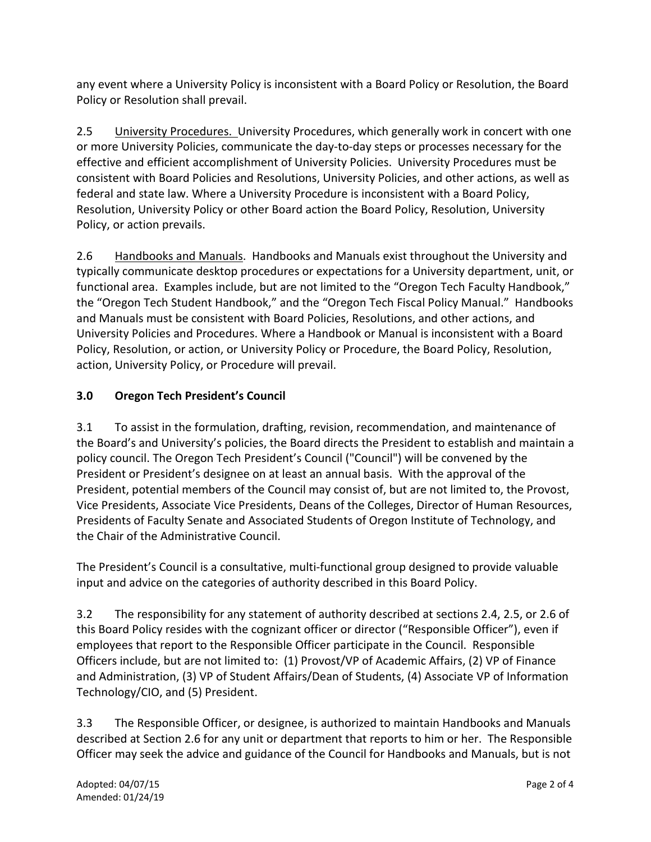any event where a University Policy is inconsistent with a Board Policy or Resolution, the Board Policy or Resolution shall prevail.

2.5 University Procedures. University Procedures, which generally work in concert with one or more University Policies, communicate the day-to-day steps or processes necessary for the effective and efficient accomplishment of University Policies. University Procedures must be consistent with Board Policies and Resolutions, University Policies, and other actions, as well as federal and state law. Where a University Procedure is inconsistent with a Board Policy, Resolution, University Policy or other Board action the Board Policy, Resolution, University Policy, or action prevails.

2.6 Handbooks and Manuals. Handbooks and Manuals exist throughout the University and typically communicate desktop procedures or expectations for a University department, unit, or functional area. Examples include, but are not limited to the "Oregon Tech Faculty Handbook," the "Oregon Tech Student Handbook," and the "Oregon Tech Fiscal Policy Manual." Handbooks and Manuals must be consistent with Board Policies, Resolutions, and other actions, and University Policies and Procedures. Where a Handbook or Manual is inconsistent with a Board Policy, Resolution, or action, or University Policy or Procedure, the Board Policy, Resolution, action, University Policy, or Procedure will prevail.

# **3.0 Oregon Tech President's Council**

3.1 To assist in the formulation, drafting, revision, recommendation, and maintenance of the Board's and University's policies, the Board directs the President to establish and maintain a policy council. The Oregon Tech President's Council ("Council") will be convened by the President or President's designee on at least an annual basis. With the approval of the President, potential members of the Council may consist of, but are not limited to, the Provost, Vice Presidents, Associate Vice Presidents, Deans of the Colleges, Director of Human Resources, Presidents of Faculty Senate and Associated Students of Oregon Institute of Technology, and the Chair of the Administrative Council.

The President's Council is a consultative, multi-functional group designed to provide valuable input and advice on the categories of authority described in this Board Policy.

3.2 The responsibility for any statement of authority described at sections 2.4, 2.5, or 2.6 of this Board Policy resides with the cognizant officer or director ("Responsible Officer"), even if employees that report to the Responsible Officer participate in the Council. Responsible Officers include, but are not limited to: (1) Provost/VP of Academic Affairs, (2) VP of Finance and Administration, (3) VP of Student Affairs/Dean of Students, (4) Associate VP of Information Technology/CIO, and (5) President.

3.3 The Responsible Officer, or designee, is authorized to maintain Handbooks and Manuals described at Section 2.6 for any unit or department that reports to him or her. The Responsible Officer may seek the advice and guidance of the Council for Handbooks and Manuals, but is not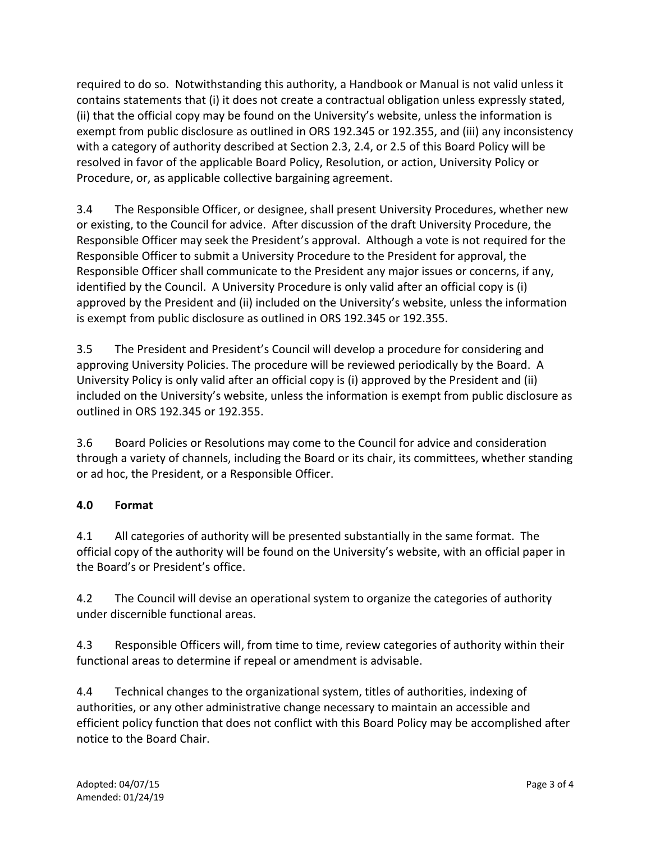required to do so. Notwithstanding this authority, a Handbook or Manual is not valid unless it contains statements that (i) it does not create a contractual obligation unless expressly stated, (ii) that the official copy may be found on the University's website, unless the information is exempt from public disclosure as outlined in ORS 192.345 or 192.355, and (iii) any inconsistency with a category of authority described at Section 2.3, 2.4, or 2.5 of this Board Policy will be resolved in favor of the applicable Board Policy, Resolution, or action, University Policy or Procedure, or, as applicable collective bargaining agreement.

3.4 The Responsible Officer, or designee, shall present University Procedures, whether new or existing, to the Council for advice. After discussion of the draft University Procedure, the Responsible Officer may seek the President's approval. Although a vote is not required for the Responsible Officer to submit a University Procedure to the President for approval, the Responsible Officer shall communicate to the President any major issues or concerns, if any, identified by the Council. A University Procedure is only valid after an official copy is (i) approved by the President and (ii) included on the University's website, unless the information is exempt from public disclosure as outlined in ORS 192.345 or 192.355.

3.5 The President and President's Council will develop a procedure for considering and approving University Policies. The procedure will be reviewed periodically by the Board. A University Policy is only valid after an official copy is (i) approved by the President and (ii) included on the University's website, unless the information is exempt from public disclosure as outlined in ORS 192.345 or 192.355.

3.6 Board Policies or Resolutions may come to the Council for advice and consideration through a variety of channels, including the Board or its chair, its committees, whether standing or ad hoc, the President, or a Responsible Officer.

### **4.0 Format**

4.1 All categories of authority will be presented substantially in the same format. The official copy of the authority will be found on the University's website, with an official paper in the Board's or President's office.

4.2 The Council will devise an operational system to organize the categories of authority under discernible functional areas.

4.3 Responsible Officers will, from time to time, review categories of authority within their functional areas to determine if repeal or amendment is advisable.

4.4 Technical changes to the organizational system, titles of authorities, indexing of authorities, or any other administrative change necessary to maintain an accessible and efficient policy function that does not conflict with this Board Policy may be accomplished after notice to the Board Chair.